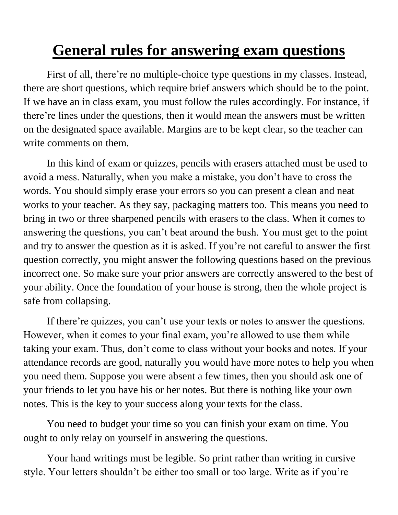## **General rules for answering exam questions**

First of all, there're no multiple-choice type questions in my classes. Instead, there are short questions, which require brief answers which should be to the point. If we have an in class exam, you must follow the rules accordingly. For instance, if there're lines under the questions, then it would mean the answers must be written on the designated space available. Margins are to be kept clear, so the teacher can write comments on them.

In this kind of exam or quizzes, pencils with erasers attached must be used to avoid a mess. Naturally, when you make a mistake, you don't have to cross the words. You should simply erase your errors so you can present a clean and neat works to your teacher. As they say, packaging matters too. This means you need to bring in two or three sharpened pencils with erasers to the class. When it comes to answering the questions, you can't beat around the bush. You must get to the point and try to answer the question as it is asked. If you're not careful to answer the first question correctly, you might answer the following questions based on the previous incorrect one. So make sure your prior answers are correctly answered to the best of your ability. Once the foundation of your house is strong, then the whole project is safe from collapsing.

If there're quizzes, you can't use your texts or notes to answer the questions. However, when it comes to your final exam, you're allowed to use them while taking your exam. Thus, don't come to class without your books and notes. If your attendance records are good, naturally you would have more notes to help you when you need them. Suppose you were absent a few times, then you should ask one of your friends to let you have his or her notes. But there is nothing like your own notes. This is the key to your success along your texts for the class.

You need to budget your time so you can finish your exam on time. You ought to only relay on yourself in answering the questions.

Your hand writings must be legible. So print rather than writing in cursive style. Your letters shouldn't be either too small or too large. Write as if you're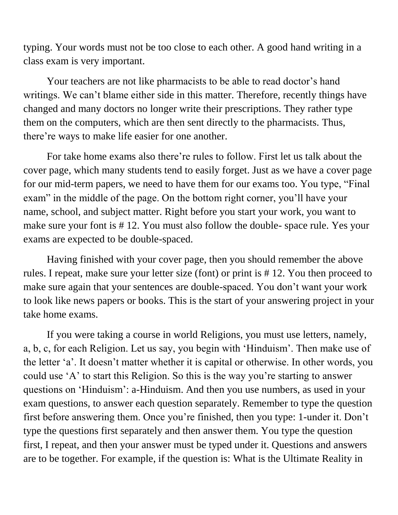typing. Your words must not be too close to each other. A good hand writing in a class exam is very important.

Your teachers are not like pharmacists to be able to read doctor's hand writings. We can't blame either side in this matter. Therefore, recently things have changed and many doctors no longer write their prescriptions. They rather type them on the computers, which are then sent directly to the pharmacists. Thus, there're ways to make life easier for one another.

For take home exams also there're rules to follow. First let us talk about the cover page, which many students tend to easily forget. Just as we have a cover page for our mid-term papers, we need to have them for our exams too. You type, "Final exam" in the middle of the page. On the bottom right corner, you'll have your name, school, and subject matter. Right before you start your work, you want to make sure your font is # 12. You must also follow the double- space rule. Yes your exams are expected to be double-spaced.

Having finished with your cover page, then you should remember the above rules. I repeat, make sure your letter size (font) or print is # 12. You then proceed to make sure again that your sentences are double-spaced. You don't want your work to look like news papers or books. This is the start of your answering project in your take home exams.

If you were taking a course in world Religions, you must use letters, namely, a, b, c, for each Religion. Let us say, you begin with 'Hinduism'. Then make use of the letter 'a'. It doesn't matter whether it is capital or otherwise. In other words, you could use 'A' to start this Religion. So this is the way you're starting to answer questions on 'Hinduism': a-Hinduism. And then you use numbers, as used in your exam questions, to answer each question separately. Remember to type the question first before answering them. Once you're finished, then you type: 1-under it. Don't type the questions first separately and then answer them. You type the question first, I repeat, and then your answer must be typed under it. Questions and answers are to be together. For example, if the question is: What is the Ultimate Reality in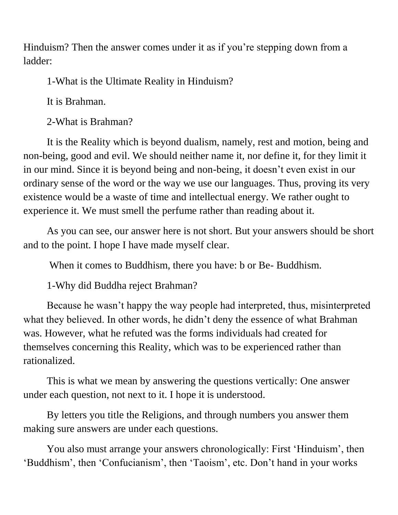Hinduism? Then the answer comes under it as if you're stepping down from a ladder:

1-What is the Ultimate Reality in Hinduism?

It is Brahman.

2-What is Brahman?

It is the Reality which is beyond dualism, namely, rest and motion, being and non-being, good and evil. We should neither name it, nor define it, for they limit it in our mind. Since it is beyond being and non-being, it doesn't even exist in our ordinary sense of the word or the way we use our languages. Thus, proving its very existence would be a waste of time and intellectual energy. We rather ought to experience it. We must smell the perfume rather than reading about it.

As you can see, our answer here is not short. But your answers should be short and to the point. I hope I have made myself clear.

When it comes to Buddhism, there you have: b or Be- Buddhism.

1-Why did Buddha reject Brahman?

Because he wasn't happy the way people had interpreted, thus, misinterpreted what they believed. In other words, he didn't deny the essence of what Brahman was. However, what he refuted was the forms individuals had created for themselves concerning this Reality, which was to be experienced rather than rationalized.

This is what we mean by answering the questions vertically: One answer under each question, not next to it. I hope it is understood.

By letters you title the Religions, and through numbers you answer them making sure answers are under each questions.

You also must arrange your answers chronologically: First 'Hinduism', then 'Buddhism', then 'Confucianism', then 'Taoism', etc. Don't hand in your works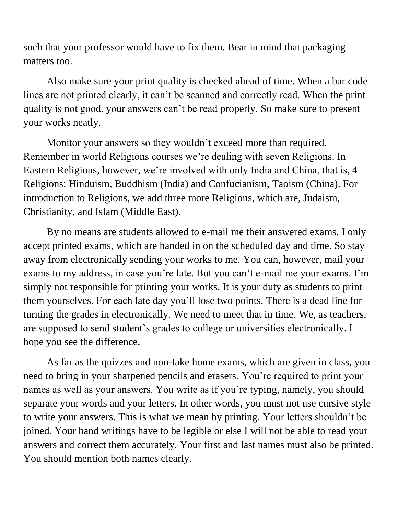such that your professor would have to fix them. Bear in mind that packaging matters too.

Also make sure your print quality is checked ahead of time. When a bar code lines are not printed clearly, it can't be scanned and correctly read. When the print quality is not good, your answers can't be read properly. So make sure to present your works neatly.

Monitor your answers so they wouldn't exceed more than required. Remember in world Religions courses we're dealing with seven Religions. In Eastern Religions, however, we're involved with only India and China, that is, 4 Religions: Hinduism, Buddhism (India) and Confucianism, Taoism (China). For introduction to Religions, we add three more Religions, which are, Judaism, Christianity, and Islam (Middle East).

By no means are students allowed to e-mail me their answered exams. I only accept printed exams, which are handed in on the scheduled day and time. So stay away from electronically sending your works to me. You can, however, mail your exams to my address, in case you're late. But you can't e-mail me your exams. I'm simply not responsible for printing your works. It is your duty as students to print them yourselves. For each late day you'll lose two points. There is a dead line for turning the grades in electronically. We need to meet that in time. We, as teachers, are supposed to send student's grades to college or universities electronically. I hope you see the difference.

As far as the quizzes and non-take home exams, which are given in class, you need to bring in your sharpened pencils and erasers. You're required to print your names as well as your answers. You write as if you're typing, namely, you should separate your words and your letters. In other words, you must not use cursive style to write your answers. This is what we mean by printing. Your letters shouldn't be joined. Your hand writings have to be legible or else I will not be able to read your answers and correct them accurately. Your first and last names must also be printed. You should mention both names clearly.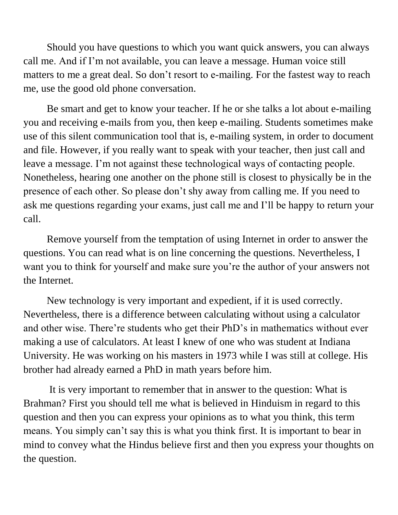Should you have questions to which you want quick answers, you can always call me. And if I'm not available, you can leave a message. Human voice still matters to me a great deal. So don't resort to e-mailing. For the fastest way to reach me, use the good old phone conversation.

Be smart and get to know your teacher. If he or she talks a lot about e-mailing you and receiving e-mails from you, then keep e-mailing. Students sometimes make use of this silent communication tool that is, e-mailing system, in order to document and file. However, if you really want to speak with your teacher, then just call and leave a message. I'm not against these technological ways of contacting people. Nonetheless, hearing one another on the phone still is closest to physically be in the presence of each other. So please don't shy away from calling me. If you need to ask me questions regarding your exams, just call me and I'll be happy to return your call.

Remove yourself from the temptation of using Internet in order to answer the questions. You can read what is on line concerning the questions. Nevertheless, I want you to think for yourself and make sure you're the author of your answers not the Internet.

New technology is very important and expedient, if it is used correctly. Nevertheless, there is a difference between calculating without using a calculator and other wise. There're students who get their PhD's in mathematics without ever making a use of calculators. At least I knew of one who was student at Indiana University. He was working on his masters in 1973 while I was still at college. His brother had already earned a PhD in math years before him.

It is very important to remember that in answer to the question: What is Brahman? First you should tell me what is believed in Hinduism in regard to this question and then you can express your opinions as to what you think, this term means. You simply can't say this is what you think first. It is important to bear in mind to convey what the Hindus believe first and then you express your thoughts on the question.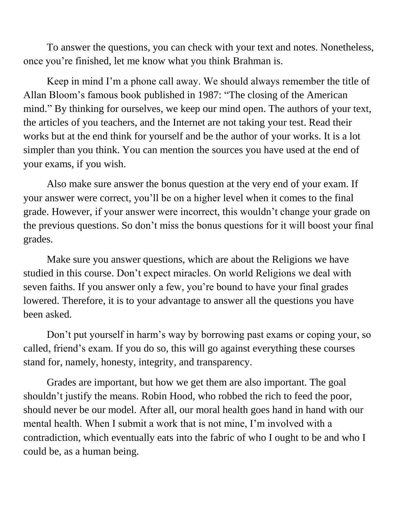To answer the questions, you can check with your text and notes. Nonetheless, once you're finished, let me know what you think Brahman is.

Keep in mind I'm a phone call away. We should always remember the title of Allan Bloom's famous book published in 1987: "The closing of the American mind." By thinking for ourselves, we keep our mind open. The authors of your text, the articles of you teachers, and the Internet are not taking your test. Read their works but at the end think for yourself and be the author of your works. It is a lot simpler than you think. You can mention the sources you have used at the end of your exams, if you wish.

Also make sure answer the bonus question at the very end of your exam. If your answer were correct, you'll be on a higher level when it comes to the final grade. However, if your answer were incorrect, this wouldn't change your grade on the previous questions. So don't miss the bonus questions for it will boost your final grades.

Make sure you answer questions, which are about the Religions we have studied in this course. Don't expect miracles. On world Religions we deal with seven faiths. If you answer only a few, you're bound to have your final grades lowered. Therefore, it is to your advantage to answer all the questions you have been asked.

Don't put yourself in harm's way by borrowing past exams or coping your, so called, friend's exam. If you do so, this will go against everything these courses stand for, namely, honesty, integrity, and transparency.

Grades are important, but how we get them are also important. The goal shouldn't justify the means. Robin Hood, who robbed the rich to feed the poor, should never be our model. After all, our moral health goes hand in hand with our mental health. When I submit a work that is not mine, I'm involved with a contradiction, which eventually eats into the fabric of who I ought to be and who I could be, as a human being.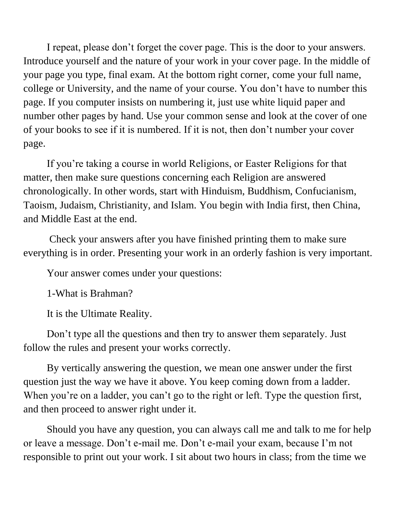I repeat, please don't forget the cover page. This is the door to your answers. Introduce yourself and the nature of your work in your cover page. In the middle of your page you type, final exam. At the bottom right corner, come your full name, college or University, and the name of your course. You don't have to number this page. If you computer insists on numbering it, just use white liquid paper and number other pages by hand. Use your common sense and look at the cover of one of your books to see if it is numbered. If it is not, then don't number your cover page.

If you're taking a course in world Religions, or Easter Religions for that matter, then make sure questions concerning each Religion are answered chronologically. In other words, start with Hinduism, Buddhism, Confucianism, Taoism, Judaism, Christianity, and Islam. You begin with India first, then China, and Middle East at the end.

Check your answers after you have finished printing them to make sure everything is in order. Presenting your work in an orderly fashion is very important.

Your answer comes under your questions:

1-What is Brahman?

It is the Ultimate Reality.

Don't type all the questions and then try to answer them separately. Just follow the rules and present your works correctly.

By vertically answering the question, we mean one answer under the first question just the way we have it above. You keep coming down from a ladder. When you're on a ladder, you can't go to the right or left. Type the question first, and then proceed to answer right under it.

Should you have any question, you can always call me and talk to me for help or leave a message. Don't e-mail me. Don't e-mail your exam, because I'm not responsible to print out your work. I sit about two hours in class; from the time we